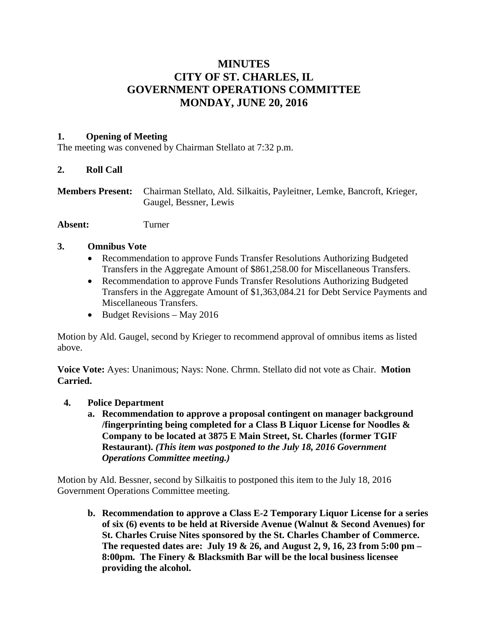# **MINUTES CITY OF ST. CHARLES, IL GOVERNMENT OPERATIONS COMMITTEE MONDAY, JUNE 20, 2016**

## **1. Opening of Meeting**

The meeting was convened by Chairman Stellato at 7:32 p.m.

### **2. Roll Call**

**Members Present:** Chairman Stellato, Ald. Silkaitis, Payleitner, Lemke, Bancroft, Krieger, Gaugel, Bessner, Lewis

**Absent:** Turner

### **3. Omnibus Vote**

- Recommendation to approve Funds Transfer Resolutions Authorizing Budgeted Transfers in the Aggregate Amount of \$861,258.00 for Miscellaneous Transfers.
- Recommendation to approve Funds Transfer Resolutions Authorizing Budgeted Transfers in the Aggregate Amount of \$1,363,084.21 for Debt Service Payments and Miscellaneous Transfers.
- Budget Revisions May 2016

Motion by Ald. Gaugel, second by Krieger to recommend approval of omnibus items as listed above.

**Voice Vote:** Ayes: Unanimous; Nays: None. Chrmn. Stellato did not vote as Chair. **Motion Carried.**

- **4. Police Department**
	- **a. Recommendation to approve a proposal contingent on manager background /fingerprinting being completed for a Class B Liquor License for Noodles & Company to be located at 3875 E Main Street, St. Charles (former TGIF Restaurant).** *(This item was postponed to the July 18, 2016 Government Operations Committee meeting.)*

Motion by Ald. Bessner, second by Silkaitis to postponed this item to the July 18, 2016 Government Operations Committee meeting.

**b. Recommendation to approve a Class E-2 Temporary Liquor License for a series of six (6) events to be held at Riverside Avenue (Walnut & Second Avenues) for St. Charles Cruise Nites sponsored by the St. Charles Chamber of Commerce. The requested dates are: July 19 & 26, and August 2, 9, 16, 23 from 5:00 pm – 8:00pm. The Finery & Blacksmith Bar will be the local business licensee providing the alcohol.**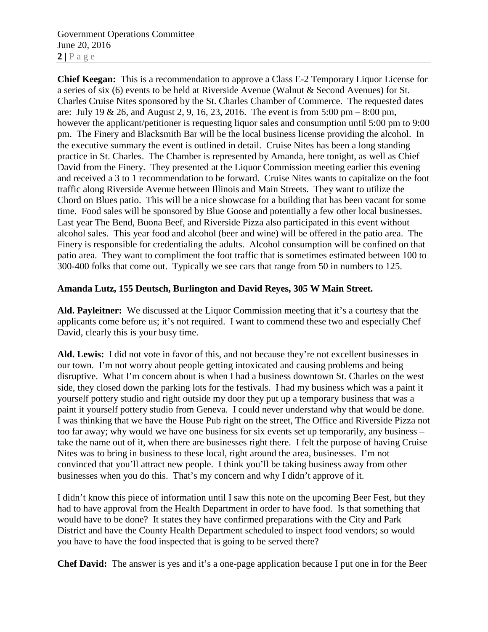Government Operations Committee June 20, 2016  $2 | P \text{ a ge}$ 

**Chief Keegan:** This is a recommendation to approve a Class E-2 Temporary Liquor License for a series of six (6) events to be held at Riverside Avenue (Walnut & Second Avenues) for St. Charles Cruise Nites sponsored by the St. Charles Chamber of Commerce. The requested dates are: July 19 & 26, and August 2, 9, 16, 23, 2016. The event is from 5:00 pm – 8:00 pm, however the applicant/petitioner is requesting liquor sales and consumption until 5:00 pm to 9:00 pm. The Finery and Blacksmith Bar will be the local business license providing the alcohol. In the executive summary the event is outlined in detail. Cruise Nites has been a long standing practice in St. Charles. The Chamber is represented by Amanda, here tonight, as well as Chief David from the Finery. They presented at the Liquor Commission meeting earlier this evening and received a 3 to 1 recommendation to be forward. Cruise Nites wants to capitalize on the foot traffic along Riverside Avenue between Illinois and Main Streets. They want to utilize the Chord on Blues patio. This will be a nice showcase for a building that has been vacant for some time. Food sales will be sponsored by Blue Goose and potentially a few other local businesses. Last year The Bend, Buona Beef, and Riverside Pizza also participated in this event without alcohol sales. This year food and alcohol (beer and wine) will be offered in the patio area. The Finery is responsible for credentialing the adults. Alcohol consumption will be confined on that patio area. They want to compliment the foot traffic that is sometimes estimated between 100 to 300-400 folks that come out. Typically we see cars that range from 50 in numbers to 125.

#### **Amanda Lutz, 155 Deutsch, Burlington and David Reyes, 305 W Main Street.**

**Ald. Payleitner:** We discussed at the Liquor Commission meeting that it's a courtesy that the applicants come before us; it's not required. I want to commend these two and especially Chef David, clearly this is your busy time.

**Ald. Lewis:** I did not vote in favor of this, and not because they're not excellent businesses in our town. I'm not worry about people getting intoxicated and causing problems and being disruptive. What I'm concern about is when I had a business downtown St. Charles on the west side, they closed down the parking lots for the festivals. I had my business which was a paint it yourself pottery studio and right outside my door they put up a temporary business that was a paint it yourself pottery studio from Geneva. I could never understand why that would be done. I was thinking that we have the House Pub right on the street, The Office and Riverside Pizza not too far away; why would we have one business for six events set up temporarily, any business – take the name out of it, when there are businesses right there. I felt the purpose of having Cruise Nites was to bring in business to these local, right around the area, businesses. I'm not convinced that you'll attract new people. I think you'll be taking business away from other businesses when you do this. That's my concern and why I didn't approve of it.

I didn't know this piece of information until I saw this note on the upcoming Beer Fest, but they had to have approval from the Health Department in order to have food. Is that something that would have to be done? It states they have confirmed preparations with the City and Park District and have the County Health Department scheduled to inspect food vendors; so would you have to have the food inspected that is going to be served there?

**Chef David:** The answer is yes and it's a one-page application because I put one in for the Beer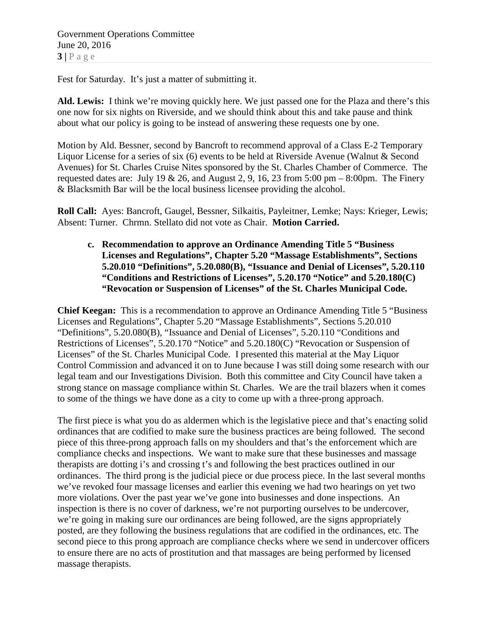Fest for Saturday. It's just a matter of submitting it.

**Ald. Lewis:** I think we're moving quickly here. We just passed one for the Plaza and there's this one now for six nights on Riverside, and we should think about this and take pause and think about what our policy is going to be instead of answering these requests one by one.

Motion by Ald. Bessner, second by Bancroft to recommend approval of a Class E-2 Temporary Liquor License for a series of six (6) events to be held at Riverside Avenue (Walnut & Second Avenues) for St. Charles Cruise Nites sponsored by the St. Charles Chamber of Commerce. The requested dates are: July 19 & 26, and August 2, 9, 16, 23 from 5:00 pm – 8:00 pm. The Finery & Blacksmith Bar will be the local business licensee providing the alcohol.

**Roll Call:** Ayes: Bancroft, Gaugel, Bessner, Silkaitis, Payleitner, Lemke; Nays: Krieger, Lewis; Absent: Turner. Chrmn. Stellato did not vote as Chair. **Motion Carried.**

**c. Recommendation to approve an Ordinance Amending Title 5 "Business Licenses and Regulations", Chapter 5.20 "Massage Establishments", Sections 5.20.010 "Definitions", 5.20.080(B), "Issuance and Denial of Licenses", 5.20.110 "Conditions and Restrictions of Licenses", 5.20.170 "Notice" and 5.20.180(C) "Revocation or Suspension of Licenses" of the St. Charles Municipal Code.**

**Chief Keegan:** This is a recommendation to approve an Ordinance Amending Title 5 "Business Licenses and Regulations", Chapter 5.20 "Massage Establishments", Sections 5.20.010 "Definitions", 5.20.080(B), "Issuance and Denial of Licenses", 5.20.110 "Conditions and Restrictions of Licenses", 5.20.170 "Notice" and 5.20.180(C) "Revocation or Suspension of Licenses" of the St. Charles Municipal Code. I presented this material at the May Liquor Control Commission and advanced it on to June because I was still doing some research with our legal team and our Investigations Division. Both this committee and City Council have taken a strong stance on massage compliance within St. Charles. We are the trail blazers when it comes to some of the things we have done as a city to come up with a three-prong approach.

The first piece is what you do as aldermen which is the legislative piece and that's enacting solid ordinances that are codified to make sure the business practices are being followed. The second piece of this three-prong approach falls on my shoulders and that's the enforcement which are compliance checks and inspections. We want to make sure that these businesses and massage therapists are dotting i's and crossing t's and following the best practices outlined in our ordinances. The third prong is the judicial piece or due process piece. In the last several months we've revoked four massage licenses and earlier this evening we had two hearings on yet two more violations. Over the past year we've gone into businesses and done inspections. An inspection is there is no cover of darkness, we're not purporting ourselves to be undercover, we're going in making sure our ordinances are being followed, are the signs appropriately posted, are they following the business regulations that are codified in the ordinances, etc. The second piece to this prong approach are compliance checks where we send in undercover officers to ensure there are no acts of prostitution and that massages are being performed by licensed massage therapists.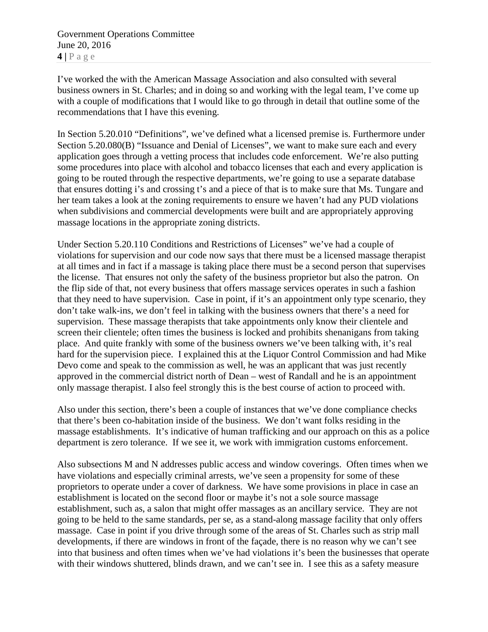Government Operations Committee June 20, 2016 **4 |** Page

I've worked the with the American Massage Association and also consulted with several business owners in St. Charles; and in doing so and working with the legal team, I've come up with a couple of modifications that I would like to go through in detail that outline some of the recommendations that I have this evening.

In Section 5.20.010 "Definitions", we've defined what a licensed premise is. Furthermore under Section 5.20.080(B) "Issuance and Denial of Licenses", we want to make sure each and every application goes through a vetting process that includes code enforcement. We're also putting some procedures into place with alcohol and tobacco licenses that each and every application is going to be routed through the respective departments, we're going to use a separate database that ensures dotting i's and crossing t's and a piece of that is to make sure that Ms. Tungare and her team takes a look at the zoning requirements to ensure we haven't had any PUD violations when subdivisions and commercial developments were built and are appropriately approving massage locations in the appropriate zoning districts.

Under Section 5.20.110 Conditions and Restrictions of Licenses" we've had a couple of violations for supervision and our code now says that there must be a licensed massage therapist at all times and in fact if a massage is taking place there must be a second person that supervises the license. That ensures not only the safety of the business proprietor but also the patron. On the flip side of that, not every business that offers massage services operates in such a fashion that they need to have supervision. Case in point, if it's an appointment only type scenario, they don't take walk-ins, we don't feel in talking with the business owners that there's a need for supervision. These massage therapists that take appointments only know their clientele and screen their clientele; often times the business is locked and prohibits shenanigans from taking place. And quite frankly with some of the business owners we've been talking with, it's real hard for the supervision piece. I explained this at the Liquor Control Commission and had Mike Devo come and speak to the commission as well, he was an applicant that was just recently approved in the commercial district north of Dean – west of Randall and he is an appointment only massage therapist. I also feel strongly this is the best course of action to proceed with.

Also under this section, there's been a couple of instances that we've done compliance checks that there's been co-habitation inside of the business. We don't want folks residing in the massage establishments. It's indicative of human trafficking and our approach on this as a police department is zero tolerance. If we see it, we work with immigration customs enforcement.

Also subsections M and N addresses public access and window coverings. Often times when we have violations and especially criminal arrests, we've seen a propensity for some of these proprietors to operate under a cover of darkness. We have some provisions in place in case an establishment is located on the second floor or maybe it's not a sole source massage establishment, such as, a salon that might offer massages as an ancillary service. They are not going to be held to the same standards, per se, as a stand-along massage facility that only offers massage. Case in point if you drive through some of the areas of St. Charles such as strip mall developments, if there are windows in front of the façade, there is no reason why we can't see into that business and often times when we've had violations it's been the businesses that operate with their windows shuttered, blinds drawn, and we can't see in. I see this as a safety measure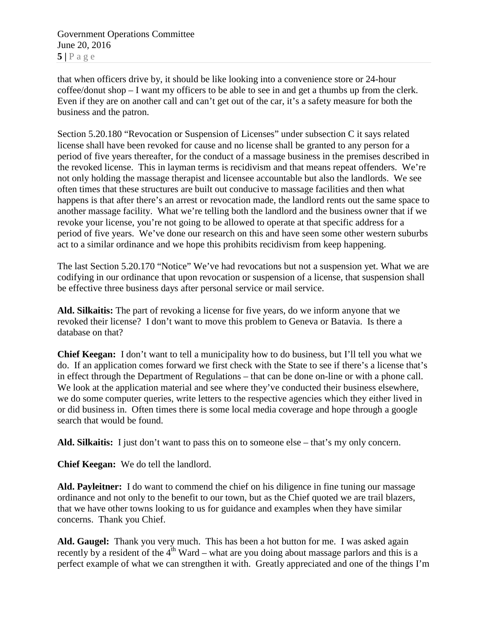that when officers drive by, it should be like looking into a convenience store or 24-hour coffee/donut shop – I want my officers to be able to see in and get a thumbs up from the clerk. Even if they are on another call and can't get out of the car, it's a safety measure for both the business and the patron.

Section 5.20.180 "Revocation or Suspension of Licenses" under subsection C it says related license shall have been revoked for cause and no license shall be granted to any person for a period of five years thereafter, for the conduct of a massage business in the premises described in the revoked license. This in layman terms is recidivism and that means repeat offenders. We're not only holding the massage therapist and licensee accountable but also the landlords. We see often times that these structures are built out conducive to massage facilities and then what happens is that after there's an arrest or revocation made, the landlord rents out the same space to another massage facility. What we're telling both the landlord and the business owner that if we revoke your license, you're not going to be allowed to operate at that specific address for a period of five years. We've done our research on this and have seen some other western suburbs act to a similar ordinance and we hope this prohibits recidivism from keep happening.

The last Section 5.20.170 "Notice" We've had revocations but not a suspension yet. What we are codifying in our ordinance that upon revocation or suspension of a license, that suspension shall be effective three business days after personal service or mail service.

**Ald. Silkaitis:** The part of revoking a license for five years, do we inform anyone that we revoked their license? I don't want to move this problem to Geneva or Batavia. Is there a database on that?

**Chief Keegan:** I don't want to tell a municipality how to do business, but I'll tell you what we do. If an application comes forward we first check with the State to see if there's a license that's in effect through the Department of Regulations – that can be done on-line or with a phone call. We look at the application material and see where they've conducted their business elsewhere, we do some computer queries, write letters to the respective agencies which they either lived in or did business in. Often times there is some local media coverage and hope through a google search that would be found.

**Ald. Silkaitis:** I just don't want to pass this on to someone else – that's my only concern.

**Chief Keegan:** We do tell the landlord.

**Ald. Payleitner:** I do want to commend the chief on his diligence in fine tuning our massage ordinance and not only to the benefit to our town, but as the Chief quoted we are trail blazers, that we have other towns looking to us for guidance and examples when they have similar concerns. Thank you Chief.

**Ald. Gaugel:** Thank you very much. This has been a hot button for me. I was asked again recently by a resident of the  $4<sup>th</sup>$  Ward – what are you doing about massage parlors and this is a perfect example of what we can strengthen it with. Greatly appreciated and one of the things I'm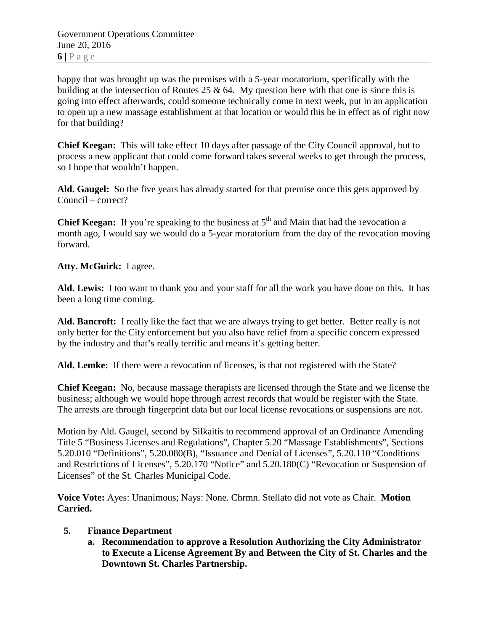Government Operations Committee June 20, 2016  $6|P$ age

happy that was brought up was the premises with a 5-year moratorium, specifically with the building at the intersection of Routes 25  $\&$  64. My question here with that one is since this is going into effect afterwards, could someone technically come in next week, put in an application to open up a new massage establishment at that location or would this be in effect as of right now for that building?

**Chief Keegan:** This will take effect 10 days after passage of the City Council approval, but to process a new applicant that could come forward takes several weeks to get through the process, so I hope that wouldn't happen.

**Ald. Gaugel:** So the five years has already started for that premise once this gets approved by Council – correct?

**Chief Keegan:** If you're speaking to the business at 5<sup>th</sup> and Main that had the revocation a month ago, I would say we would do a 5-year moratorium from the day of the revocation moving forward.

**Atty. McGuirk:** I agree.

**Ald. Lewis:** I too want to thank you and your staff for all the work you have done on this. It has been a long time coming.

**Ald. Bancroft:** I really like the fact that we are always trying to get better. Better really is not only better for the City enforcement but you also have relief from a specific concern expressed by the industry and that's really terrific and means it's getting better.

**Ald. Lemke:** If there were a revocation of licenses, is that not registered with the State?

**Chief Keegan:** No, because massage therapists are licensed through the State and we license the business; although we would hope through arrest records that would be register with the State. The arrests are through fingerprint data but our local license revocations or suspensions are not.

Motion by Ald. Gaugel, second by Silkaitis to recommend approval of an Ordinance Amending Title 5 "Business Licenses and Regulations", Chapter 5.20 "Massage Establishments", Sections 5.20.010 "Definitions", 5.20.080(B), "Issuance and Denial of Licenses", 5.20.110 "Conditions and Restrictions of Licenses", 5.20.170 "Notice" and 5.20.180(C) "Revocation or Suspension of Licenses" of the St. Charles Municipal Code.

**Voice Vote:** Ayes: Unanimous; Nays: None. Chrmn. Stellato did not vote as Chair. **Motion Carried.**

## **5. Finance Department**

**a. Recommendation to approve a Resolution Authorizing the City Administrator to Execute a License Agreement By and Between the City of St. Charles and the Downtown St. Charles Partnership.**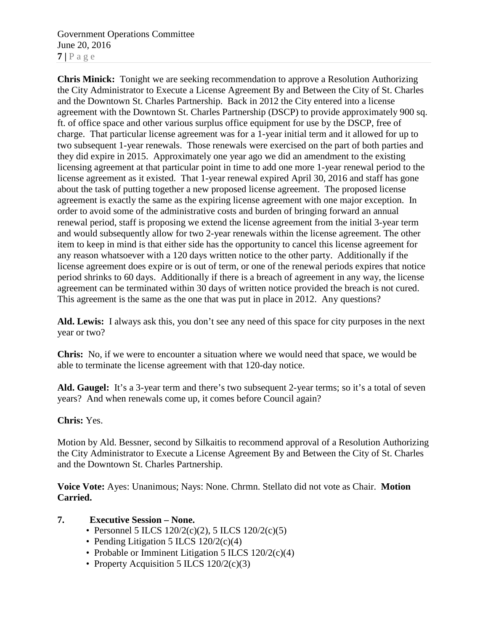Government Operations Committee June 20, 2016  $7$  |  $P$  a g e

**Chris Minick:** Tonight we are seeking recommendation to approve a Resolution Authorizing the City Administrator to Execute a License Agreement By and Between the City of St. Charles and the Downtown St. Charles Partnership. Back in 2012 the City entered into a license agreement with the Downtown St. Charles Partnership (DSCP) to provide approximately 900 sq. ft. of office space and other various surplus office equipment for use by the DSCP, free of charge. That particular license agreement was for a 1-year initial term and it allowed for up to two subsequent 1-year renewals. Those renewals were exercised on the part of both parties and they did expire in 2015. Approximately one year ago we did an amendment to the existing licensing agreement at that particular point in time to add one more 1-year renewal period to the license agreement as it existed. That 1-year renewal expired April 30, 2016 and staff has gone about the task of putting together a new proposed license agreement. The proposed license agreement is exactly the same as the expiring license agreement with one major exception. In order to avoid some of the administrative costs and burden of bringing forward an annual renewal period, staff is proposing we extend the license agreement from the initial 3-year term and would subsequently allow for two 2-year renewals within the license agreement. The other item to keep in mind is that either side has the opportunity to cancel this license agreement for any reason whatsoever with a 120 days written notice to the other party. Additionally if the license agreement does expire or is out of term, or one of the renewal periods expires that notice period shrinks to 60 days. Additionally if there is a breach of agreement in any way, the license agreement can be terminated within 30 days of written notice provided the breach is not cured. This agreement is the same as the one that was put in place in 2012. Any questions?

**Ald. Lewis:** I always ask this, you don't see any need of this space for city purposes in the next year or two?

**Chris:** No, if we were to encounter a situation where we would need that space, we would be able to terminate the license agreement with that 120-day notice.

**Ald. Gaugel:** It's a 3-year term and there's two subsequent 2-year terms; so it's a total of seven years? And when renewals come up, it comes before Council again?

## **Chris:** Yes.

Motion by Ald. Bessner, second by Silkaitis to recommend approval of a Resolution Authorizing the City Administrator to Execute a License Agreement By and Between the City of St. Charles and the Downtown St. Charles Partnership.

**Voice Vote:** Ayes: Unanimous; Nays: None. Chrmn. Stellato did not vote as Chair. **Motion Carried.**

#### **7. Executive Session – None.**

- Personnel 5 ILCS  $120/2(c)(2)$ , 5 ILCS  $120/2(c)(5)$
- Pending Litigation 5 ILCS 120/2(c)(4)
- Probable or Imminent Litigation 5 ILCS 120/2(c)(4)
- Property Acquisition 5 ILCS 120/2(c)(3)